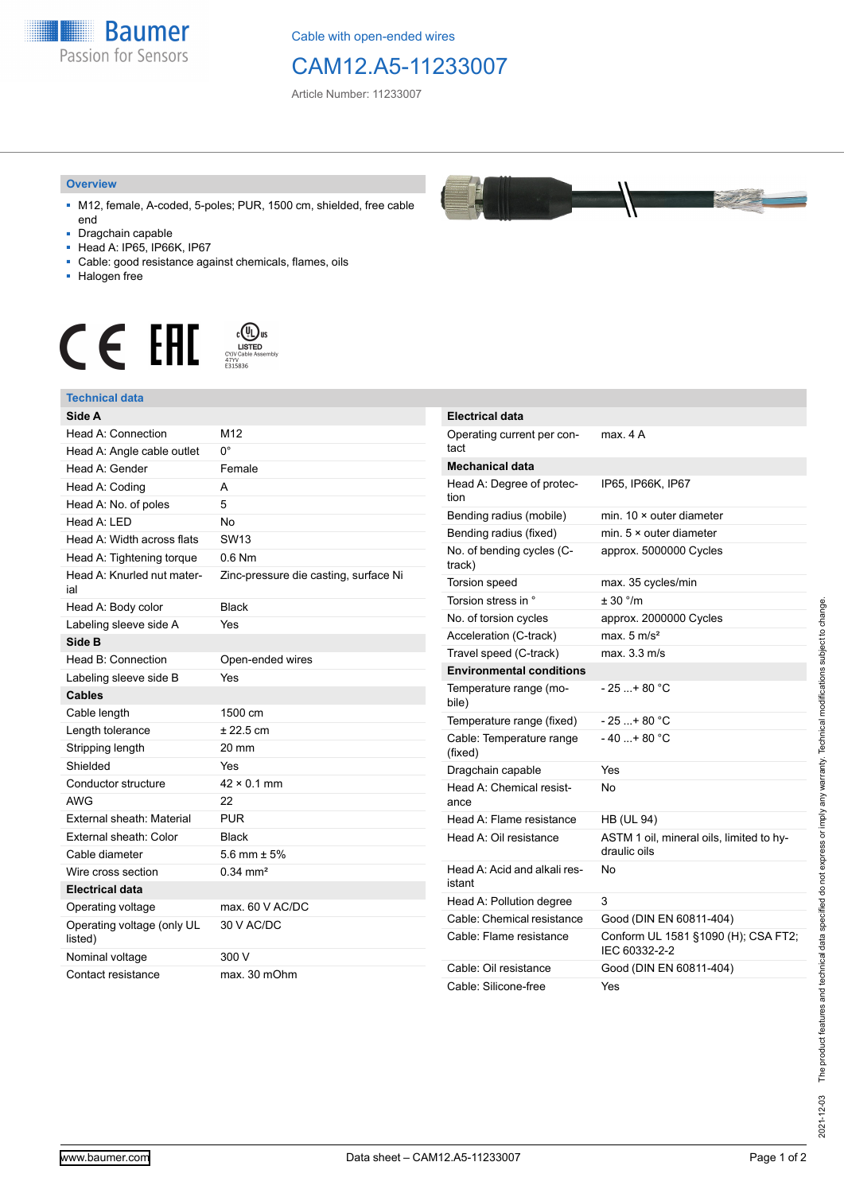

Cable with open-ended wires

## CAM12.A5-11233007

Article Number: 11233007

## **Overview**

- M12, female, A-coded, 5-poles; PUR, 1500 cm, shielded, free cable end
- Dragchain capable
- Head A: IP65, IP66K, IP67
- Cable: good resistance against chemicals, flames, oils
- Halogen free



## **Technical data**

| Side A                                |                                       | <b>Electrical data</b>    |
|---------------------------------------|---------------------------------------|---------------------------|
| Head A: Connection                    | M12                                   | Operating curre           |
| Head A: Angle cable outlet            | $0^{\circ}$                           | tact                      |
| Head A: Gender                        | Female                                | Mechanical da             |
| Head A: Coding                        | A                                     | Head A: Degree            |
| Head A: No. of poles                  | 5                                     | tion                      |
| Head A: LED                           | <b>No</b>                             | Bending radius            |
| Head A: Width across flats            | SW <sub>13</sub>                      | Bending radius            |
| Head A: Tightening torque             | $0.6$ Nm                              | No. of bending<br>track)  |
| Head A: Knurled nut mater-            | Zinc-pressure die casting, surface Ni | Torsion speed             |
| ial                                   |                                       | Torsion stress i          |
| Head A: Body color                    | <b>Black</b>                          | No. of torsion c          |
| Labeling sleeve side A                | Yes                                   | Acceleration (C           |
| Side B                                |                                       | Travel speed (C           |
| Head B: Connection                    | Open-ended wires                      | Environmenta              |
| Labeling sleeve side B                | Yes                                   | Temperature ra            |
| <b>Cables</b>                         |                                       | bile)                     |
| Cable length                          | 1500 cm                               | Temperature ra            |
| Length tolerance                      | $± 22.5$ cm                           | Cable: Tempera            |
| Stripping length                      | 20 mm                                 | (fixed)                   |
| Shielded                              | Yes                                   | Dragchain capa            |
| Conductor structure                   | $42 \times 0.1$ mm                    | Head A: Chemi             |
| <b>AWG</b>                            | 22                                    | ance                      |
| External sheath: Material             | <b>PUR</b>                            | Head A: Flame             |
| External sheath: Color                | <b>Black</b>                          | Head A: Oil res           |
| Cable diameter                        | 5.6 mm $\pm$ 5%                       |                           |
| Wire cross section                    | $0.34 \text{ mm}^2$                   | Head A: Acid ar<br>istant |
| <b>Electrical data</b>                |                                       | Head A: Pollutio          |
| Operating voltage                     | max. 60 V AC/DC                       | Cable: Chemica            |
| Operating voltage (only UL<br>listed) | 30 V AC/DC                            | Cable: Flame re           |
| Nominal voltage                       | 300 V                                 |                           |
| Contact resistance                    | max. 30 mOhm                          | Cable: Oil resis          |
|                                       |                                       | Cable: Silicone           |

| Operating current per con-<br>tact     | max. 4 A                                                 |
|----------------------------------------|----------------------------------------------------------|
| <b>Mechanical data</b>                 |                                                          |
| Head A: Degree of protec-<br>tion      | IP65, IP66K, IP67                                        |
| Bending radius (mobile)                | min. $10 \times$ outer diameter                          |
| Bending radius (fixed)                 | min. $5 \times$ outer diameter                           |
| No. of bending cycles (C-<br>track)    | approx. 5000000 Cycles                                   |
| Torsion speed                          | max. 35 cycles/min                                       |
| Torsion stress in °                    | ± 30 °/m                                                 |
| No. of torsion cycles                  | approx. 2000000 Cycles                                   |
| Acceleration (C-track)                 | max. $5 \text{ m/s}^2$                                   |
| Travel speed (C-track)                 | max. 3.3 m/s                                             |
| <b>Environmental conditions</b>        |                                                          |
| Temperature range (mo-<br>bile)        | $-25+80 °C$                                              |
| Temperature range (fixed)              | $-25+80 °C$                                              |
| Cable: Temperature range<br>(fixed)    | $-40+80 °C$                                              |
| Dragchain capable                      | Yes                                                      |
| Head A: Chemical resist-<br>ance       | <b>No</b>                                                |
| Head A: Flame resistance               | <b>HB (UL 94)</b>                                        |
| Head A: Oil resistance                 | ASTM 1 oil, mineral oils, limited to hy-<br>draulic oils |
| Head A: Acid and alkali res-<br>istant | No                                                       |
| Head A: Pollution degree               | 3                                                        |
| Cable: Chemical resistance             | Good (DIN EN 60811-404)                                  |
| Cable: Flame resistance                | Conform UL 1581 §1090 (H); CSA FT2;<br>IEC 60332-2-2     |
| Cable: Oil resistance                  | Good (DIN EN 60811-404)                                  |
| Cable: Silicone-free                   | Yes                                                      |